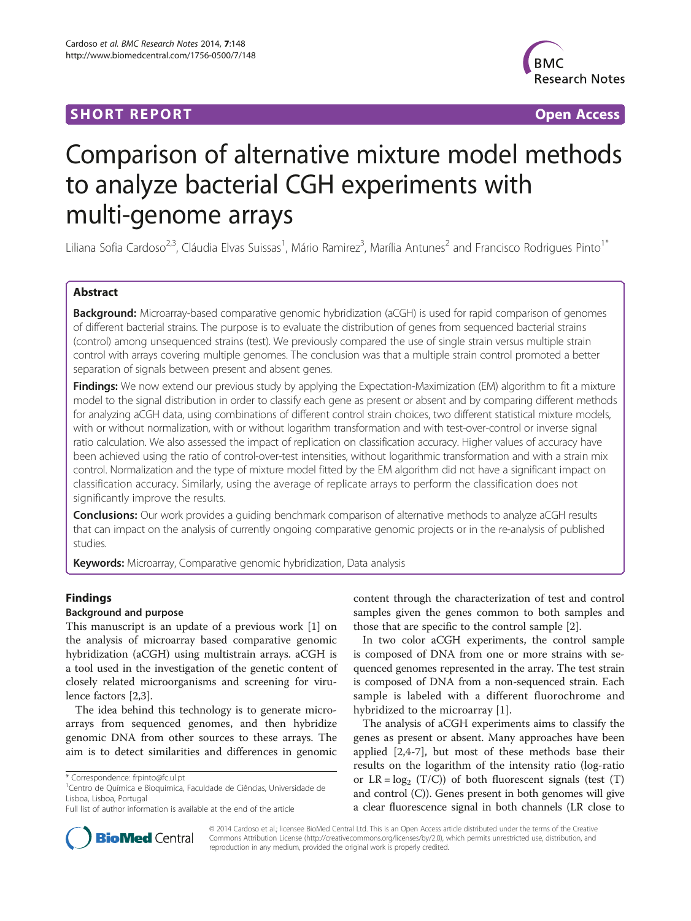# **SHORT REPORT SHORT CONSUMING THE SHORT CONSUMING THE SHORT CONSUMING THE SHORT CONSUMING THE SHORT CONSUMING THE SHORT CONSUMING THE SHORT CONSUMING THE SHORT CONSUMING THE SHORT CONSUMING THE SHORT CONSUMING THE SHORT**



# Comparison of alternative mixture model methods to analyze bacterial CGH experiments with multi-genome arrays

Liliana Sofia Cardoso<sup>2,3</sup>, Cláudia Elvas Suissas<sup>1</sup>, Mário Ramirez<sup>3</sup>, Marília Antunes<sup>2</sup> and Francisco Rodrigues Pinto<sup>1\*</sup>

# Abstract

Background: Microarray-based comparative genomic hybridization (aCGH) is used for rapid comparison of genomes of different bacterial strains. The purpose is to evaluate the distribution of genes from sequenced bacterial strains (control) among unsequenced strains (test). We previously compared the use of single strain versus multiple strain control with arrays covering multiple genomes. The conclusion was that a multiple strain control promoted a better separation of signals between present and absent genes.

**Findings:** We now extend our previous study by applying the Expectation-Maximization (EM) algorithm to fit a mixture model to the signal distribution in order to classify each gene as present or absent and by comparing different methods for analyzing aCGH data, using combinations of different control strain choices, two different statistical mixture models, with or without normalization, with or without logarithm transformation and with test-over-control or inverse signal ratio calculation. We also assessed the impact of replication on classification accuracy. Higher values of accuracy have been achieved using the ratio of control-over-test intensities, without logarithmic transformation and with a strain mix control. Normalization and the type of mixture model fitted by the EM algorithm did not have a significant impact on classification accuracy. Similarly, using the average of replicate arrays to perform the classification does not significantly improve the results.

**Conclusions:** Our work provides a quiding benchmark comparison of alternative methods to analyze aCGH results that can impact on the analysis of currently ongoing comparative genomic projects or in the re-analysis of published studies.

Keywords: Microarray, Comparative genomic hybridization, Data analysis

# Findings

# Background and purpose

This manuscript is an update of a previous work [\[1](#page-6-0)] on the analysis of microarray based comparative genomic hybridization (aCGH) using multistrain arrays. aCGH is a tool used in the investigation of the genetic content of closely related microorganisms and screening for virulence factors [\[2,3](#page-6-0)].

The idea behind this technology is to generate microarrays from sequenced genomes, and then hybridize genomic DNA from other sources to these arrays. The aim is to detect similarities and differences in genomic

content through the characterization of test and control samples given the genes common to both samples and those that are specific to the control sample [\[2](#page-6-0)].

In two color aCGH experiments, the control sample is composed of DNA from one or more strains with sequenced genomes represented in the array. The test strain is composed of DNA from a non-sequenced strain. Each sample is labeled with a different fluorochrome and hybridized to the microarray [[1\]](#page-6-0).

The analysis of aCGH experiments aims to classify the genes as present or absent. Many approaches have been applied [\[2](#page-6-0),[4-7\]](#page-6-0), but most of these methods base their results on the logarithm of the intensity ratio (log-ratio or  $LR = log_2 (T/C)$  of both fluorescent signals (test (T) and control (C)). Genes present in both genomes will give a clear fluorescence signal in both channels (LR close to



© 2014 Cardoso et al.; licensee BioMed Central Ltd. This is an Open Access article distributed under the terms of the Creative Commons Attribution License [\(http://creativecommons.org/licenses/by/2.0\)](http://creativecommons.org/licenses/by/2.0), which permits unrestricted use, distribution, and reproduction in any medium, provided the original work is properly credited.

<sup>\*</sup> Correspondence: [frpinto@fc.ul.pt](mailto:frpinto@fc.ul.pt) <sup>1</sup>

<sup>&</sup>lt;sup>1</sup> Centro de Química e Bioquímica, Faculdade de Ciências, Universidade de Lisboa, Lisboa, Portugal

Full list of author information is available at the end of the article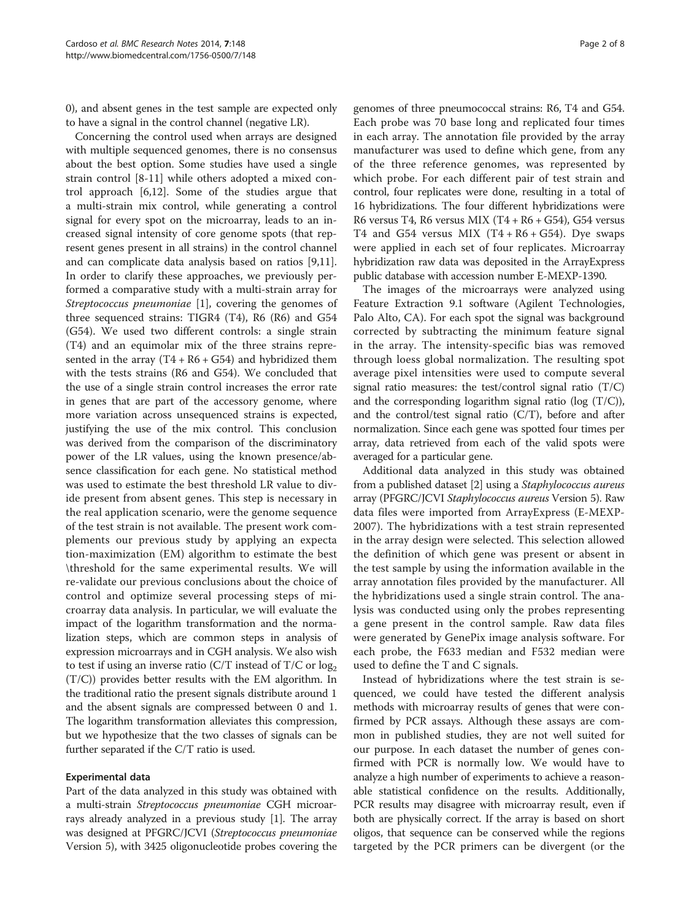0), and absent genes in the test sample are expected only to have a signal in the control channel (negative LR).

Concerning the control used when arrays are designed with multiple sequenced genomes, there is no consensus about the best option. Some studies have used a single strain control [[8](#page-6-0)-[11\]](#page-7-0) while others adopted a mixed control approach [[6,](#page-6-0)[12](#page-7-0)]. Some of the studies argue that a multi-strain mix control, while generating a control signal for every spot on the microarray, leads to an increased signal intensity of core genome spots (that represent genes present in all strains) in the control channel and can complicate data analysis based on ratios [\[9,11](#page-7-0)]. In order to clarify these approaches, we previously performed a comparative study with a multi-strain array for Streptococcus pneumoniae [\[1](#page-6-0)], covering the genomes of three sequenced strains: TIGR4 (T4), R6 (R6) and G54 (G54). We used two different controls: a single strain (T4) and an equimolar mix of the three strains represented in the array  $(T4 + R6 + G54)$  and hybridized them with the tests strains (R6 and G54). We concluded that the use of a single strain control increases the error rate in genes that are part of the accessory genome, where more variation across unsequenced strains is expected, justifying the use of the mix control. This conclusion was derived from the comparison of the discriminatory power of the LR values, using the known presence/absence classification for each gene. No statistical method was used to estimate the best threshold LR value to divide present from absent genes. This step is necessary in the real application scenario, were the genome sequence of the test strain is not available. The present work complements our previous study by applying an expecta tion-maximization (EM) algorithm to estimate the best \threshold for the same experimental results. We will re-validate our previous conclusions about the choice of control and optimize several processing steps of microarray data analysis. In particular, we will evaluate the impact of the logarithm transformation and the normalization steps, which are common steps in analysis of expression microarrays and in CGH analysis. We also wish to test if using an inverse ratio (C/T instead of T/C or  $log<sub>2</sub>$ (T/C)) provides better results with the EM algorithm. In the traditional ratio the present signals distribute around 1 and the absent signals are compressed between 0 and 1. The logarithm transformation alleviates this compression, but we hypothesize that the two classes of signals can be further separated if the C/T ratio is used.

# Experimental data

Part of the data analyzed in this study was obtained with a multi-strain Streptococcus pneumoniae CGH microarrays already analyzed in a previous study [[1\]](#page-6-0). The array was designed at PFGRC/JCVI (Streptococcus pneumoniae Version 5), with 3425 oligonucleotide probes covering the

Each probe was 70 base long and replicated four times in each array. The annotation file provided by the array manufacturer was used to define which gene, from any of the three reference genomes, was represented by which probe. For each different pair of test strain and control, four replicates were done, resulting in a total of 16 hybridizations. The four different hybridizations were R6 versus T4, R6 versus MIX  $(T4 + R6 + G54)$ , G54 versus T4 and G54 versus MIX  $(T4 + R6 + G54)$ . Dye swaps were applied in each set of four replicates. Microarray hybridization raw data was deposited in the ArrayExpress public database with accession number E-MEXP-1390.

The images of the microarrays were analyzed using Feature Extraction 9.1 software (Agilent Technologies, Palo Alto, CA). For each spot the signal was background corrected by subtracting the minimum feature signal in the array. The intensity-specific bias was removed through loess global normalization. The resulting spot average pixel intensities were used to compute several signal ratio measures: the test/control signal ratio (T/C) and the corresponding logarithm signal ratio (log  $(T/C)$ ), and the control/test signal ratio (C/T), before and after normalization. Since each gene was spotted four times per array, data retrieved from each of the valid spots were averaged for a particular gene.

Additional data analyzed in this study was obtained from a published dataset [[2](#page-6-0)] using a Staphylococcus aureus array (PFGRC/JCVI Staphylococcus aureus Version 5). Raw data files were imported from ArrayExpress (E-MEXP-2007). The hybridizations with a test strain represented in the array design were selected. This selection allowed the definition of which gene was present or absent in the test sample by using the information available in the array annotation files provided by the manufacturer. All the hybridizations used a single strain control. The analysis was conducted using only the probes representing a gene present in the control sample. Raw data files were generated by GenePix image analysis software. For each probe, the F633 median and F532 median were used to define the T and C signals.

Instead of hybridizations where the test strain is sequenced, we could have tested the different analysis methods with microarray results of genes that were confirmed by PCR assays. Although these assays are common in published studies, they are not well suited for our purpose. In each dataset the number of genes confirmed with PCR is normally low. We would have to analyze a high number of experiments to achieve a reasonable statistical confidence on the results. Additionally, PCR results may disagree with microarray result, even if both are physically correct. If the array is based on short oligos, that sequence can be conserved while the regions targeted by the PCR primers can be divergent (or the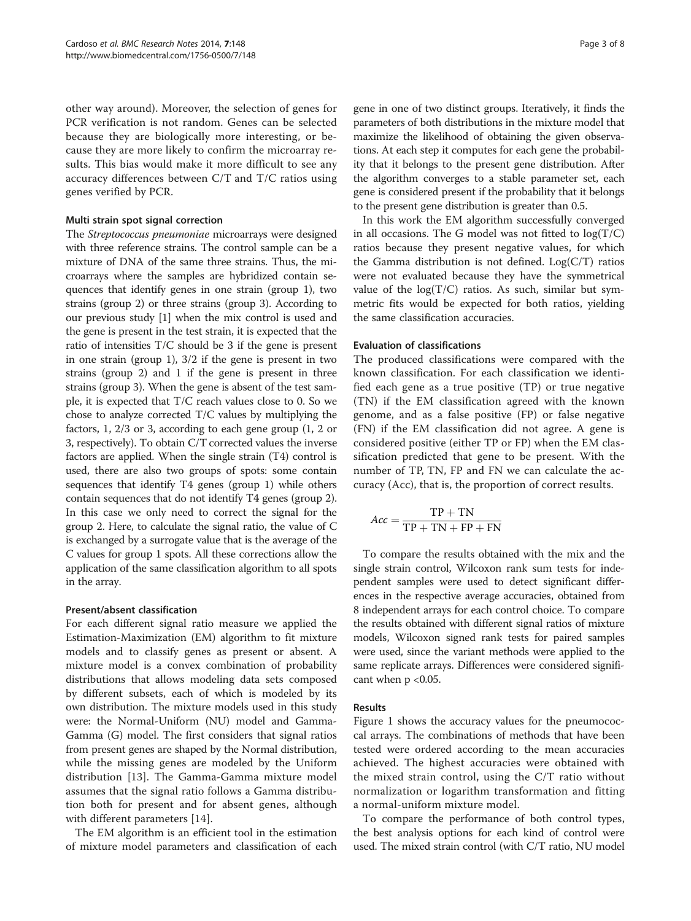other way around). Moreover, the selection of genes for PCR verification is not random. Genes can be selected because they are biologically more interesting, or because they are more likely to confirm the microarray results. This bias would make it more difficult to see any accuracy differences between C/T and T/C ratios using genes verified by PCR.

#### Multi strain spot signal correction

The Streptococcus pneumoniae microarrays were designed with three reference strains. The control sample can be a mixture of DNA of the same three strains. Thus, the microarrays where the samples are hybridized contain sequences that identify genes in one strain (group 1), two strains (group 2) or three strains (group 3). According to our previous study [[1\]](#page-6-0) when the mix control is used and the gene is present in the test strain, it is expected that the ratio of intensities T/C should be 3 if the gene is present in one strain (group 1), 3/2 if the gene is present in two strains (group 2) and 1 if the gene is present in three strains (group 3). When the gene is absent of the test sample, it is expected that T/C reach values close to 0. So we chose to analyze corrected T/C values by multiplying the factors, 1, 2/3 or 3, according to each gene group (1, 2 or 3, respectively). To obtain C/T corrected values the inverse factors are applied. When the single strain (T4) control is used, there are also two groups of spots: some contain sequences that identify T4 genes (group 1) while others contain sequences that do not identify T4 genes (group 2). In this case we only need to correct the signal for the group 2. Here, to calculate the signal ratio, the value of C is exchanged by a surrogate value that is the average of the C values for group 1 spots. All these corrections allow the application of the same classification algorithm to all spots in the array.

# Present/absent classification

For each different signal ratio measure we applied the Estimation-Maximization (EM) algorithm to fit mixture models and to classify genes as present or absent. A mixture model is a convex combination of probability distributions that allows modeling data sets composed by different subsets, each of which is modeled by its own distribution. The mixture models used in this study were: the Normal-Uniform (NU) model and Gamma-Gamma (G) model. The first considers that signal ratios from present genes are shaped by the Normal distribution, while the missing genes are modeled by the Uniform distribution [[13](#page-7-0)]. The Gamma-Gamma mixture model assumes that the signal ratio follows a Gamma distribution both for present and for absent genes, although with different parameters [[14](#page-7-0)].

The EM algorithm is an efficient tool in the estimation of mixture model parameters and classification of each gene in one of two distinct groups. Iteratively, it finds the parameters of both distributions in the mixture model that maximize the likelihood of obtaining the given observations. At each step it computes for each gene the probability that it belongs to the present gene distribution. After the algorithm converges to a stable parameter set, each gene is considered present if the probability that it belongs to the present gene distribution is greater than 0.5.

In this work the EM algorithm successfully converged in all occasions. The G model was not fitted to  $log(T/C)$ ratios because they present negative values, for which the Gamma distribution is not defined. Log(C/T) ratios were not evaluated because they have the symmetrical value of the  $log(T/C)$  ratios. As such, similar but symmetric fits would be expected for both ratios, yielding the same classification accuracies.

# Evaluation of classifications

The produced classifications were compared with the known classification. For each classification we identified each gene as a true positive (TP) or true negative (TN) if the EM classification agreed with the known genome, and as a false positive (FP) or false negative (FN) if the EM classification did not agree. A gene is considered positive (either TP or FP) when the EM classification predicted that gene to be present. With the number of TP, TN, FP and FN we can calculate the accuracy (Acc), that is, the proportion of correct results.

$$
Acc = \frac{TP + TN}{TP + TN + FP + FN}
$$

To compare the results obtained with the mix and the single strain control, Wilcoxon rank sum tests for independent samples were used to detect significant differences in the respective average accuracies, obtained from 8 independent arrays for each control choice. To compare the results obtained with different signal ratios of mixture models, Wilcoxon signed rank tests for paired samples were used, since the variant methods were applied to the same replicate arrays. Differences were considered significant when  $p < 0.05$ .

#### Results

Figure [1](#page-3-0) shows the accuracy values for the pneumococcal arrays. The combinations of methods that have been tested were ordered according to the mean accuracies achieved. The highest accuracies were obtained with the mixed strain control, using the C/T ratio without normalization or logarithm transformation and fitting a normal-uniform mixture model.

To compare the performance of both control types, the best analysis options for each kind of control were used. The mixed strain control (with C/T ratio, NU model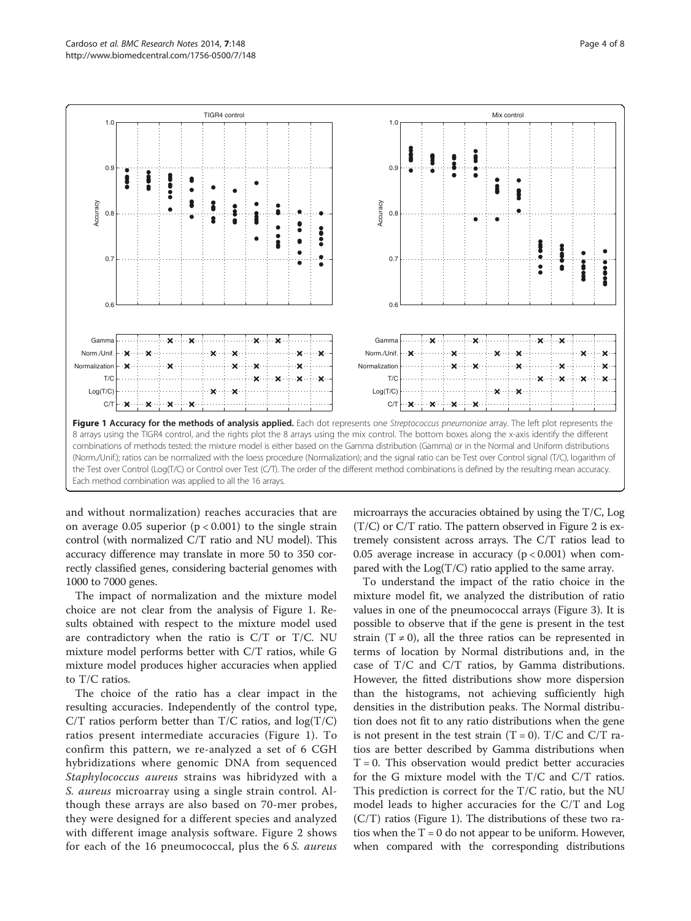<span id="page-3-0"></span>

and without normalization) reaches accuracies that are on average 0.05 superior  $(p < 0.001)$  to the single strain control (with normalized C/T ratio and NU model). This accuracy difference may translate in more 50 to 350 correctly classified genes, considering bacterial genomes with 1000 to 7000 genes.

The impact of normalization and the mixture model choice are not clear from the analysis of Figure 1. Results obtained with respect to the mixture model used are contradictory when the ratio is C/T or T/C. NU mixture model performs better with C/T ratios, while G mixture model produces higher accuracies when applied to T/C ratios.

The choice of the ratio has a clear impact in the resulting accuracies. Independently of the control type,  $C/T$  ratios perform better than T/C ratios, and  $log(T/C)$ ratios present intermediate accuracies (Figure 1). To confirm this pattern, we re-analyzed a set of 6 CGH hybridizations where genomic DNA from sequenced Staphylococcus aureus strains was hibridyzed with a S. aureus microarray using a single strain control. Although these arrays are also based on 70-mer probes, they were designed for a different species and analyzed with different image analysis software. Figure [2](#page-4-0) shows for each of the 16 pneumococcal, plus the 6 S. aureus

microarrays the accuracies obtained by using the T/C, Log (T/C) or C/T ratio. The pattern observed in Figure [2](#page-4-0) is extremely consistent across arrays. The C/T ratios lead to 0.05 average increase in accuracy  $(p < 0.001)$  when compared with the  $Log(T/C)$  ratio applied to the same array.

To understand the impact of the ratio choice in the mixture model fit, we analyzed the distribution of ratio values in one of the pneumococcal arrays (Figure [3](#page-4-0)). It is possible to observe that if the gene is present in the test strain  $(T \neq 0)$ , all the three ratios can be represented in terms of location by Normal distributions and, in the case of T/C and C/T ratios, by Gamma distributions. However, the fitted distributions show more dispersion than the histograms, not achieving sufficiently high densities in the distribution peaks. The Normal distribution does not fit to any ratio distributions when the gene is not present in the test strain  $(T = 0)$ . T/C and C/T ratios are better described by Gamma distributions when  $T = 0$ . This observation would predict better accuracies for the G mixture model with the T/C and C/T ratios. This prediction is correct for the T/C ratio, but the NU model leads to higher accuracies for the C/T and Log (C/T) ratios (Figure 1). The distributions of these two ratios when the  $T = 0$  do not appear to be uniform. However, when compared with the corresponding distributions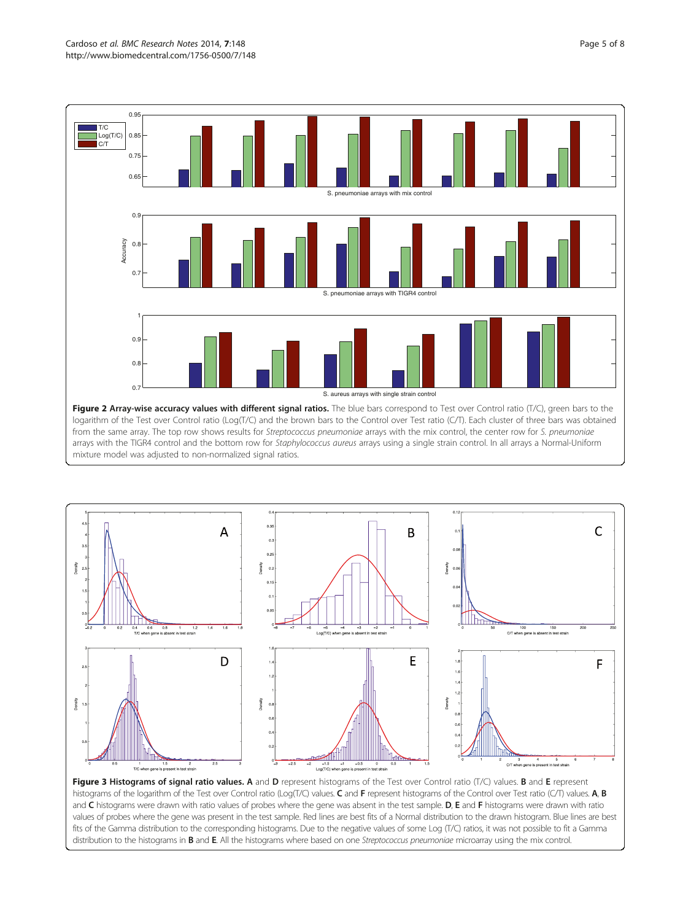<span id="page-4-0"></span>



Figure 3 Histograms of signal ratio values. A and D represent histograms of the Test over Control ratio (T/C) values. B and E represent histograms of the logarithm of the Test over Control ratio (Log(T/C) values. C and F represent histograms of the Control over Test ratio (C/T) values. A, B and C histograms were drawn with ratio values of probes where the gene was absent in the test sample. D, E and F histograms were drawn with ratio values of probes where the gene was present in the test sample. Red lines are best fits of a Normal distribution to the drawn histogram. Blue lines are best fits of the Gamma distribution to the corresponding histograms. Due to the negative values of some Log (T/C) ratios, it was not possible to fit a Gamma distribution to the histograms in **B** and **E**. All the histograms where based on one Streptococcus pneumoniae microarray using the mix control.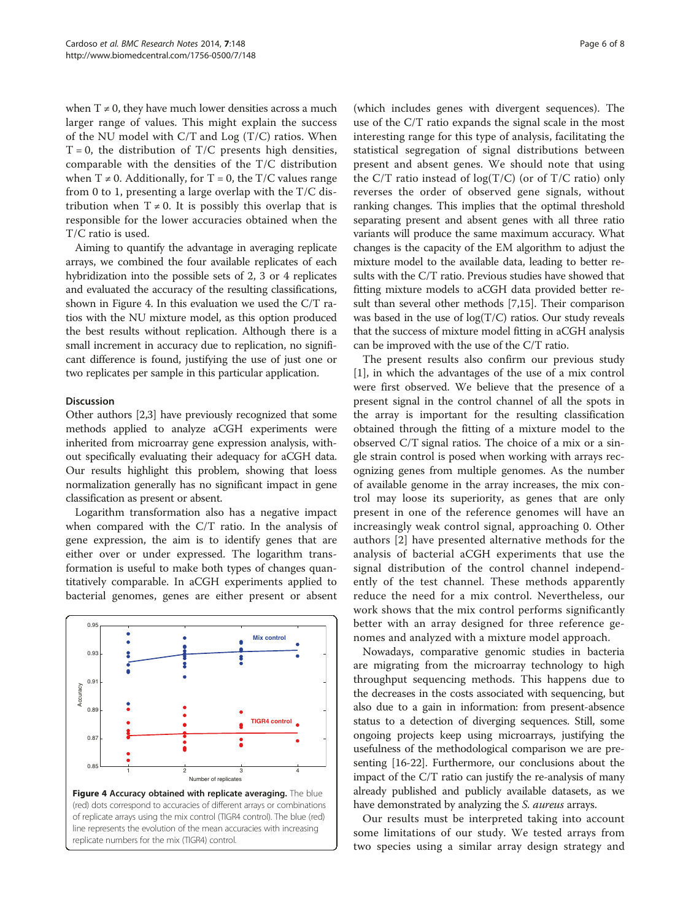when  $T \neq 0$ , they have much lower densities across a much larger range of values. This might explain the success of the NU model with  $C/T$  and Log  $(T/C)$  ratios. When  $T = 0$ , the distribution of  $T/C$  presents high densities, comparable with the densities of the T/C distribution when  $T \neq 0$ . Additionally, for  $T = 0$ , the T/C values range from 0 to 1, presenting a large overlap with the T/C distribution when  $T \neq 0$ . It is possibly this overlap that is responsible for the lower accuracies obtained when the T/C ratio is used.

Aiming to quantify the advantage in averaging replicate arrays, we combined the four available replicates of each hybridization into the possible sets of 2, 3 or 4 replicates and evaluated the accuracy of the resulting classifications, shown in Figure 4. In this evaluation we used the C/T ratios with the NU mixture model, as this option produced the best results without replication. Although there is a small increment in accuracy due to replication, no significant difference is found, justifying the use of just one or two replicates per sample in this particular application.

# Discussion

Other authors [\[2,3](#page-6-0)] have previously recognized that some methods applied to analyze aCGH experiments were inherited from microarray gene expression analysis, without specifically evaluating their adequacy for aCGH data. Our results highlight this problem, showing that loess normalization generally has no significant impact in gene classification as present or absent.

Logarithm transformation also has a negative impact when compared with the C/T ratio. In the analysis of gene expression, the aim is to identify genes that are either over or under expressed. The logarithm transformation is useful to make both types of changes quantitatively comparable. In aCGH experiments applied to bacterial genomes, genes are either present or absent



(which includes genes with divergent sequences). The use of the C/T ratio expands the signal scale in the most interesting range for this type of analysis, facilitating the statistical segregation of signal distributions between present and absent genes. We should note that using the C/T ratio instead of  $log(T/C)$  (or of T/C ratio) only reverses the order of observed gene signals, without ranking changes. This implies that the optimal threshold separating present and absent genes with all three ratio variants will produce the same maximum accuracy. What changes is the capacity of the EM algorithm to adjust the mixture model to the available data, leading to better results with the C/T ratio. Previous studies have showed that fitting mixture models to aCGH data provided better result than several other methods [[7,](#page-6-0)[15](#page-7-0)]. Their comparison was based in the use of  $log(T/C)$  ratios. Our study reveals that the success of mixture model fitting in aCGH analysis can be improved with the use of the C/T ratio.

The present results also confirm our previous study [[1\]](#page-6-0), in which the advantages of the use of a mix control were first observed. We believe that the presence of a present signal in the control channel of all the spots in the array is important for the resulting classification obtained through the fitting of a mixture model to the observed C/T signal ratios. The choice of a mix or a single strain control is posed when working with arrays recognizing genes from multiple genomes. As the number of available genome in the array increases, the mix control may loose its superiority, as genes that are only present in one of the reference genomes will have an increasingly weak control signal, approaching 0. Other authors [\[2](#page-6-0)] have presented alternative methods for the analysis of bacterial aCGH experiments that use the signal distribution of the control channel independently of the test channel. These methods apparently reduce the need for a mix control. Nevertheless, our work shows that the mix control performs significantly better with an array designed for three reference genomes and analyzed with a mixture model approach.

Nowadays, comparative genomic studies in bacteria are migrating from the microarray technology to high throughput sequencing methods. This happens due to the decreases in the costs associated with sequencing, but also due to a gain in information: from present-absence status to a detection of diverging sequences. Still, some ongoing projects keep using microarrays, justifying the usefulness of the methodological comparison we are presenting [[16](#page-7-0)-[22](#page-7-0)]. Furthermore, our conclusions about the impact of the C/T ratio can justify the re-analysis of many already published and publicly available datasets, as we have demonstrated by analyzing the *S. aureus* arrays.

Our results must be interpreted taking into account some limitations of our study. We tested arrays from two species using a similar array design strategy and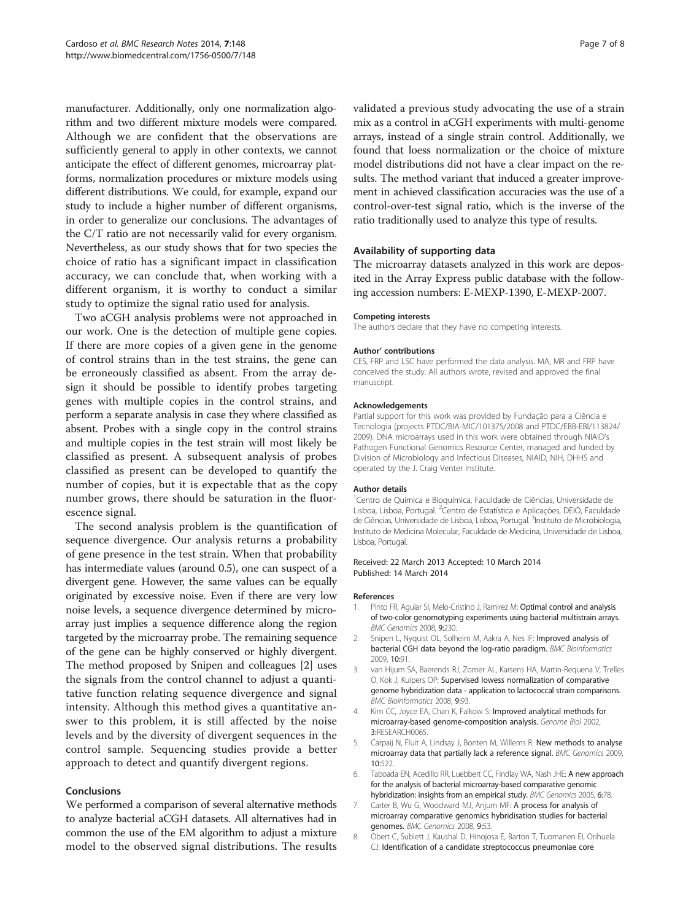<span id="page-6-0"></span>manufacturer. Additionally, only one normalization algorithm and two different mixture models were compared. Although we are confident that the observations are sufficiently general to apply in other contexts, we cannot anticipate the effect of different genomes, microarray platforms, normalization procedures or mixture models using different distributions. We could, for example, expand our study to include a higher number of different organisms, in order to generalize our conclusions. The advantages of the C/T ratio are not necessarily valid for every organism. Nevertheless, as our study shows that for two species the choice of ratio has a significant impact in classification accuracy, we can conclude that, when working with a different organism, it is worthy to conduct a similar study to optimize the signal ratio used for analysis.

Two aCGH analysis problems were not approached in our work. One is the detection of multiple gene copies. If there are more copies of a given gene in the genome of control strains than in the test strains, the gene can be erroneously classified as absent. From the array design it should be possible to identify probes targeting genes with multiple copies in the control strains, and perform a separate analysis in case they where classified as absent. Probes with a single copy in the control strains and multiple copies in the test strain will most likely be classified as present. A subsequent analysis of probes classified as present can be developed to quantify the number of copies, but it is expectable that as the copy number grows, there should be saturation in the fluorescence signal.

The second analysis problem is the quantification of sequence divergence. Our analysis returns a probability of gene presence in the test strain. When that probability has intermediate values (around 0.5), one can suspect of a divergent gene. However, the same values can be equally originated by excessive noise. Even if there are very low noise levels, a sequence divergence determined by microarray just implies a sequence difference along the region targeted by the microarray probe. The remaining sequence of the gene can be highly conserved or highly divergent. The method proposed by Snipen and colleagues [2] uses the signals from the control channel to adjust a quantitative function relating sequence divergence and signal intensity. Although this method gives a quantitative answer to this problem, it is still affected by the noise levels and by the diversity of divergent sequences in the control sample. Sequencing studies provide a better approach to detect and quantify divergent regions.

# Conclusions

We performed a comparison of several alternative methods to analyze bacterial aCGH datasets. All alternatives had in common the use of the EM algorithm to adjust a mixture model to the observed signal distributions. The results validated a previous study advocating the use of a strain mix as a control in aCGH experiments with multi-genome arrays, instead of a single strain control. Additionally, we found that loess normalization or the choice of mixture model distributions did not have a clear impact on the results. The method variant that induced a greater improvement in achieved classification accuracies was the use of a control-over-test signal ratio, which is the inverse of the ratio traditionally used to analyze this type of results.

# Availability of supporting data

The microarray datasets analyzed in this work are deposited in the Array Express public database with the following accession numbers: E-MEXP-1390, E-MEXP-2007.

#### Competing interests

The authors declare that they have no competing interests.

#### Author' contributions

CES, FRP and LSC have performed the data analysis. MA, MR and FRP have conceived the study. All authors wrote, revised and approved the final manuscript.

#### Acknowledgements

Partial support for this work was provided by Fundação para a Ciência e Tecnologia (projects PTDC/BIA-MIC/101375/2008 and PTDC/EBB-EBI/113824/ 2009). DNA microarrays used in this work were obtained through NIAID's Pathogen Functional Genomics Resource Center, managed and funded by Division of Microbiology and Infectious Diseases, NIAID, NIH, DHHS and operated by the J. Craig Venter Institute.

#### Author details

<sup>1</sup> Centro de Química e Bioquímica, Faculdade de Ciências, Universidade de Lisboa, Lisboa, Portugal. <sup>2</sup> Centro de Estatística e Aplicações, DEIO, Faculdade de Ciências, Universidade de Lisboa, Lisboa, Portugal. <sup>3</sup>Instituto de Microbiologia Instituto de Medicina Molecular, Faculdade de Medicina, Universidade de Lisboa, Lisboa, Portugal.

#### Received: 22 March 2013 Accepted: 10 March 2014 Published: 14 March 2014

#### References

- 1. Pinto FR, Aguiar SI, Melo-Cristino J, Ramirez M: Optimal control and analysis of two-color genomotyping experiments using bacterial multistrain arrays. BMC Genomics 2008, 9:230.
- 2. Snipen L, Nyquist OL, Solheim M, Aakra A, Nes IF: Improved analysis of bacterial CGH data beyond the log-ratio paradigm. BMC Bioinformatics 2009, 10:91.
- 3. van Hijum SA, Baerends RJ, Zomer AL, Karsens HA, Martin-Requena V, Trelles O, Kok J, Kuipers OP: Supervised lowess normalization of comparative genome hybridization data - application to lactococcal strain comparisons. BMC Bioinformatics 2008, 9:93.
- 4. Kim CC, Joyce EA, Chan K, Falkow S: Improved analytical methods for microarray-based genome-composition analysis. Genome Biol 2002, 3:RESEARCH0065.
- 5. Carpaij N, Fluit A, Lindsay J, Bonten M, Willems R: New methods to analyse microarray data that partially lack a reference signal. BMC Genomics 2009, 10:522.
- 6. Taboada EN, Acedillo RR, Luebbert CC, Findlay WA, Nash JHE: A new approach for the analysis of bacterial microarray-based comparative genomic hybridization: insights from an empirical study. BMC Genomics 2005, 6:78.
- 7. Carter B, Wu G, Woodward MJ, Anjum MF: A process for analysis of microarray comparative genomics hybridisation studies for bacterial genomes. BMC Genomics 2008, 9:53.
- 8. Obert C, Sublett J, Kaushal D, Hinojosa E, Barton T, Tuomanen EI, Orihuela CJ: Identification of a candidate streptococcus pneumoniae core